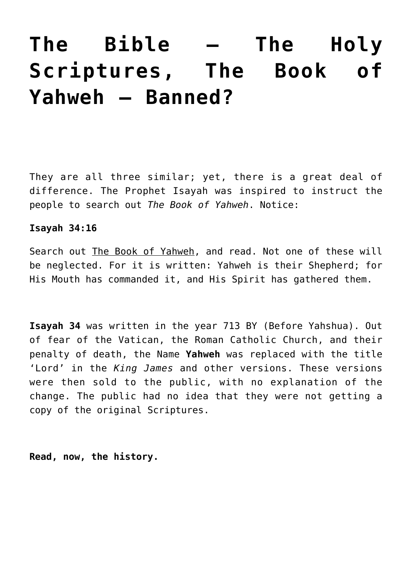# **[The Bible — The Holy](https://yahwehsbranch.com/the-bible-the-holy-scriptures-the-book-of-yahweh-banned/) [Scriptures, The Book of](https://yahwehsbranch.com/the-bible-the-holy-scriptures-the-book-of-yahweh-banned/) [Yahweh — Banned?](https://yahwehsbranch.com/the-bible-the-holy-scriptures-the-book-of-yahweh-banned/)**

They are all three similar; yet, there is a great deal of difference. The Prophet Isayah was inspired to instruct the people to search out *The Book of Yahweh*. Notice:

#### **Isayah 34:16**

Search out The Book of Yahweh, and read. Not one of these will be neglected. For it is written: Yahweh is their Shepherd; for His Mouth has commanded it, and His Spirit has gathered them.

**Isayah 34** was written in the year 713 BY (Before Yahshua). Out of fear of the Vatican, the Roman Catholic Church, and their penalty of death, the Name **Yahweh** was replaced with the title 'Lord' in the *King James* and other versions. These versions were then sold to the public, with no explanation of the change. The public had no idea that they were not getting a copy of the original Scriptures.

**Read, now, the history.**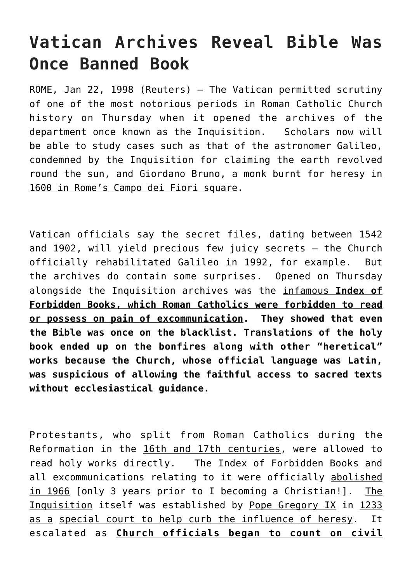# **Vatican Archives Reveal Bible Was Once Banned Book**

ROME, Jan 22, 1998 (Reuters) – The Vatican permitted scrutiny of one of the most notorious periods in Roman Catholic Church history on Thursday when it opened the archives of the department once known as the Inquisition. Scholars now will be able to study cases such as that of the astronomer Galileo, condemned by the Inquisition for claiming the earth revolved round the sun, and Giordano Bruno, a monk burnt for heresy in 1600 in Rome's Campo dei Fiori square.

Vatican officials say the secret files, dating between 1542 and 1902, will yield precious few juicy secrets — the Church officially rehabilitated Galileo in 1992, for example. But the archives do contain some surprises. Opened on Thursday alongside the Inquisition archives was the infamous **Index of Forbidden Books, which Roman Catholics were forbidden to read or possess on pain of excommunication. They showed that even the Bible was once on the blacklist. Translations of the holy book ended up on the bonfires along with other "heretical" works because the Church, whose official language was Latin, was suspicious of allowing the faithful access to sacred texts without ecclesiastical guidance.**

Protestants, who split from Roman Catholics during the Reformation in the 16th and 17th centuries, were allowed to read holy works directly. The Index of Forbidden Books and all excommunications relating to it were officially abolished in 1966 [only 3 years prior to I becoming a Christian!]. The Inquisition itself was established by Pope Gregory IX in 1233 as a special court to help curb the influence of heresy. It escalated as **Church officials began to count on civil**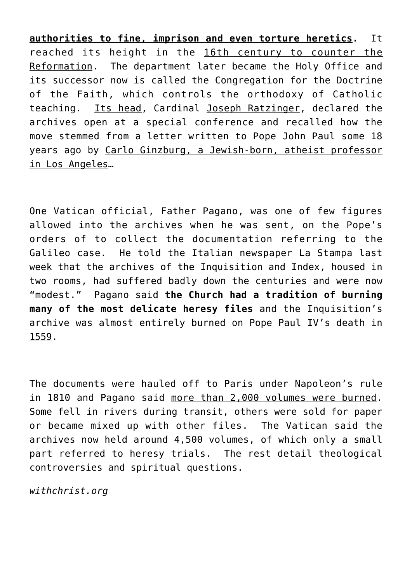**authorities to fine, imprison and even torture heretics.** It reached its height in the 16th century to counter the Reformation. The department later became the Holy Office and its successor now is called the Congregation for the Doctrine of the Faith, which controls the orthodoxy of Catholic teaching. Its head, Cardinal Joseph Ratzinger, declared the archives open at a special conference and recalled how the move stemmed from a letter written to Pope John Paul some 18 years ago by Carlo Ginzburg, a Jewish-born, atheist professor in Los Angeles…

One Vatican official, Father Pagano, was one of few figures allowed into the archives when he was sent, on the Pope's orders of to collect the documentation referring to the Galileo case. He told the Italian newspaper La Stampa last week that the archives of the Inquisition and Index, housed in two rooms, had suffered badly down the centuries and were now "modest." Pagano said **the Church had a tradition of burning many of the most delicate heresy files** and the Inquisition's archive was almost entirely burned on Pope Paul IV's death in 1559.

The documents were hauled off to Paris under Napoleon's rule in 1810 and Pagano said more than 2,000 volumes were burned. Some fell in rivers during transit, others were sold for paper or became mixed up with other files. The Vatican said the archives now held around 4,500 volumes, of which only a small part referred to heresy trials. The rest detail theological controversies and spiritual questions.

*withchrist.org*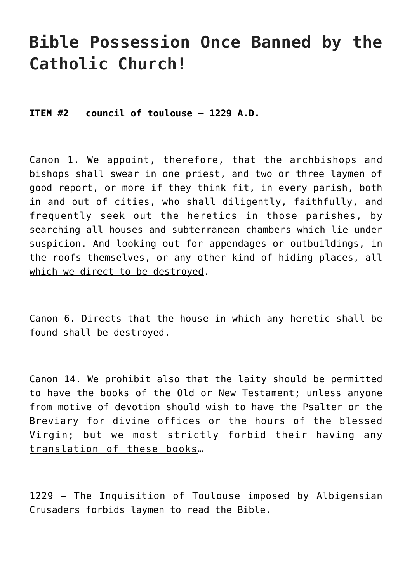## **Bible Possession Once Banned by the Catholic Church!**

**ITEM #2 council of toulouse – 1229 A.D.**

Canon 1. We appoint, therefore, that the archbishops and bishops shall swear in one priest, and two or three laymen of good report, or more if they think fit, in every parish, both in and out of cities, who shall diligently, faithfully, and frequently seek out the heretics in those parishes, by searching all houses and subterranean chambers which lie under suspicion. And looking out for appendages or outbuildings, in the roofs themselves, or any other kind of hiding places, all which we direct to be destroyed.

Canon 6. Directs that the house in which any heretic shall be found shall be destroyed.

Canon 14. We prohibit also that the laity should be permitted to have the books of the Old or New Testament; unless anyone from motive of devotion should wish to have the Psalter or the Breviary for divine offices or the hours of the blessed Virgin; but we most strictly forbid their having any translation of these books…

1229 – The Inquisition of Toulouse imposed by Albigensian Crusaders forbids laymen to read the Bible.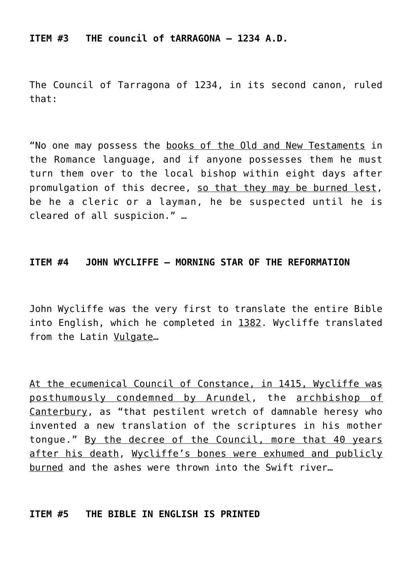**ITEM #3 THE council of tARRAGONA – 1234 A.D.**

The Council of Tarragona of 1234, in its second canon, ruled that:

"No one may possess the books of the Old and New Testaments in the Romance language, and if anyone possesses them he must turn them over to the local bishop within eight days after promulgation of this decree, so that they may be burned lest, be he a cleric or a layman, he be suspected until he is cleared of all suspicion." …

#### **ITEM #4 JOHN WYCLIFFE – MORNING STAR OF THE REFORMATION**

John Wycliffe was the very first to translate the entire Bible into English, which he completed in 1382. Wycliffe translated from the Latin Vulgate…

At the ecumenical Council of Constance, in 1415, Wycliffe was posthumously condemned by Arundel, the archbishop of Canterbury, as "that pestilent wretch of damnable heresy who invented a new translation of the scriptures in his mother tongue." By the decree of the Council, more that 40 years after his death, Wycliffe's bones were exhumed and publicly burned and the ashes were thrown into the Swift river…

#### **ITEM #5 THE BIBLE IN ENGLISH IS PRINTED**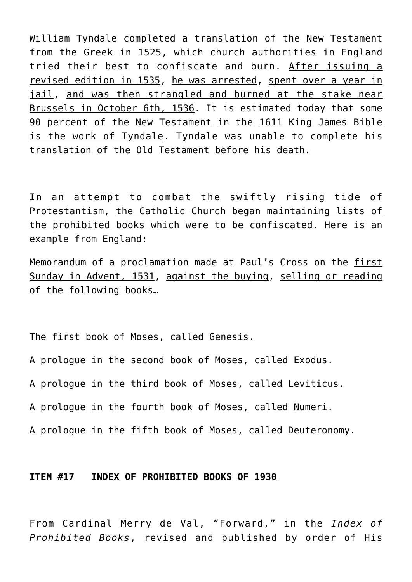William Tyndale completed a translation of the New Testament from the Greek in 1525, which church authorities in England tried their best to confiscate and burn. After issuing a revised edition in 1535, he was arrested, spent over a year in jail, and was then strangled and burned at the stake near Brussels in October 6th, 1536. It is estimated today that some 90 percent of the New Testament in the 1611 King James Bible is the work of Tyndale. Tyndale was unable to complete his translation of the Old Testament before his death.

In an attempt to combat the swiftly rising tide of Protestantism, the Catholic Church began maintaining lists of the prohibited books which were to be confiscated. Here is an example from England:

Memorandum of a proclamation made at Paul's Cross on the first Sunday in Advent, 1531, against the buying, selling or reading of the following books…

The first book of Moses, called Genesis.

A prologue in the second book of Moses, called Exodus.

A prologue in the third book of Moses, called Leviticus.

A prologue in the fourth book of Moses, called Numeri.

A prologue in the fifth book of Moses, called Deuteronomy.

#### **ITEM #17 INDEX OF PROHIBITED BOOKS OF 1930**

From Cardinal Merry de Val, "Forward," in the *Index of Prohibited Books*, revised and published by order of His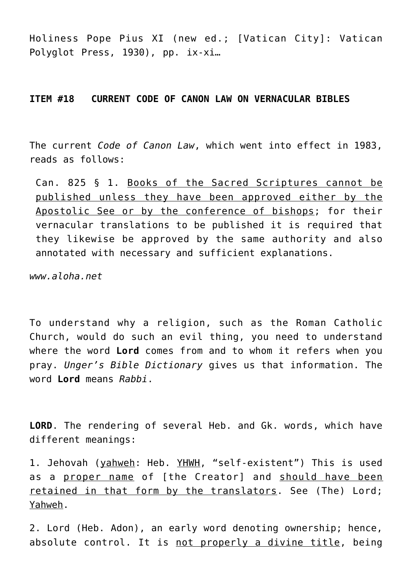Holiness Pope Pius XI (new ed.; [Vatican City]: Vatican Polyglot Press, 1930), pp. ix-xi…

#### **ITEM #18 CURRENT CODE OF CANON LAW ON VERNACULAR BIBLES**

The current *Code of Canon Law*, which went into effect in 1983, reads as follows:

Can. 825 § 1. Books of the Sacred Scriptures cannot be published unless they have been approved either by the Apostolic See or by the conference of bishops; for their vernacular translations to be published it is required that they likewise be approved by the same authority and also annotated with necessary and sufficient explanations.

*www.aloha.net*

To understand why a religion, such as the Roman Catholic Church, would do such an evil thing, you need to understand where the word **Lord** comes from and to whom it refers when you pray. *Unger's Bible Dictionary* gives us that information. The word **Lord** means *Rabbi*.

**LORD**. The rendering of several Heb. and Gk. words, which have different meanings:

1. Jehovah (yahweh: Heb. YHWH, "self-existent") This is used as a proper name of [the Creator] and should have been retained in that form by the translators. See (The) Lord; Yahweh.

2. Lord (Heb. Adon), an early word denoting ownership; hence, absolute control. It is not properly a divine title, being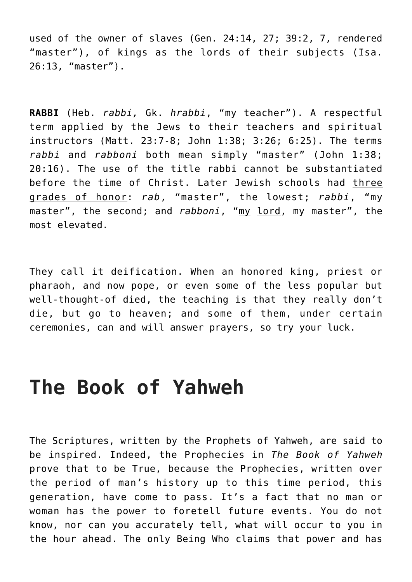used of the owner of slaves (Gen. 24:14, 27; 39:2, 7, rendered "master"), of kings as the lords of their subjects (Isa. 26:13, "master").

**RABBI** (Heb. *rabbi,* Gk. *hrabbi*, "my teacher"). A respectful term applied by the Jews to their teachers and spiritual instructors (Matt. 23:7-8; John 1:38; 3:26; 6:25). The terms *rabbi* and *rabboni* both mean simply "master" (John 1:38; 20:16). The use of the title rabbi cannot be substantiated before the time of Christ. Later Jewish schools had three grades of honor: *rab*, "master", the lowest; *rabbi*, "my master", the second; and *rabboni*, "my lord, my master", the most elevated.

They call it deification. When an honored king, priest or pharaoh, and now pope, or even some of the less popular but well-thought-of died, the teaching is that they really don't die, but go to heaven; and some of them, under certain ceremonies, can and will answer prayers, so try your luck.

# **The Book of Yahweh**

The Scriptures, written by the Prophets of Yahweh, are said to be inspired. Indeed, the Prophecies in *The Book of Yahweh* prove that to be True, because the Prophecies, written over the period of man's history up to this time period, this generation, have come to pass. It's a fact that no man or woman has the power to foretell future events. You do not know, nor can you accurately tell, what will occur to you in the hour ahead. The only Being Who claims that power and has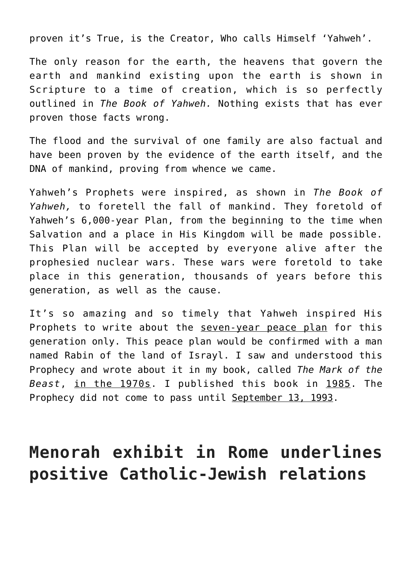proven it's True, is the Creator, Who calls Himself 'Yahweh'.

The only reason for the earth, the heavens that govern the earth and mankind existing upon the earth is shown in Scripture to a time of creation, which is so perfectly outlined in *The Book of Yahweh.* Nothing exists that has ever proven those facts wrong.

The flood and the survival of one family are also factual and have been proven by the evidence of the earth itself, and the DNA of mankind, proving from whence we came.

Yahweh's Prophets were inspired, as shown in *The Book of Yahweh,* to foretell the fall of mankind. They foretold of Yahweh's 6,000-year Plan, from the beginning to the time when Salvation and a place in His Kingdom will be made possible. This Plan will be accepted by everyone alive after the prophesied nuclear wars. These wars were foretold to take place in this generation, thousands of years before this generation, as well as the cause.

It's so amazing and so timely that Yahweh inspired His Prophets to write about the seven-year peace plan for this generation only. This peace plan would be confirmed with a man named Rabin of the land of Israyl. I saw and understood this Prophecy and wrote about it in my book, called *The Mark of the Beast*, in the 1970s. I published this book in 1985. The Prophecy did not come to pass until September 13, 1993.

## **Menorah exhibit in Rome underlines positive Catholic-Jewish relations**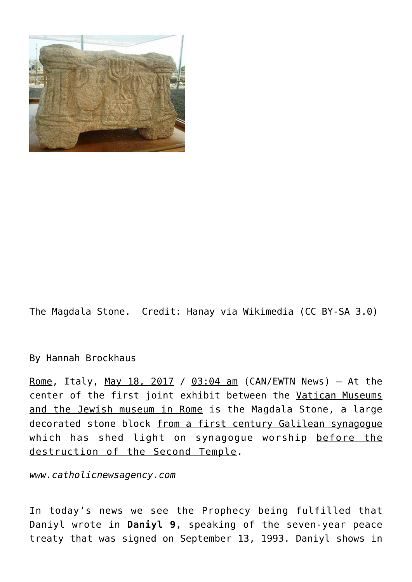

The Magdala Stone. Credit: Hanay via Wikimedia (CC BY-SA 3.0)

By [Hannah Brockhaus](https://plus.google.com/114887397344970150345?rel=author)

Rome, Italy, May 18, 2017 / 03:04 am (CAN/EWTN News) - At the center of the first joint exhibit between the Vatican Museums and the Jewish museum in Rome is the Magdala Stone, a large decorated stone block from a first century Galilean synagogue which has shed light on synagogue worship before the destruction of the Second Temple.

*www.catholicnewsagency.com*

In today's news we see the Prophecy being fulfilled that Daniyl wrote in **Daniyl 9**, speaking of the seven-year peace treaty that was signed on September 13, 1993. Daniyl shows in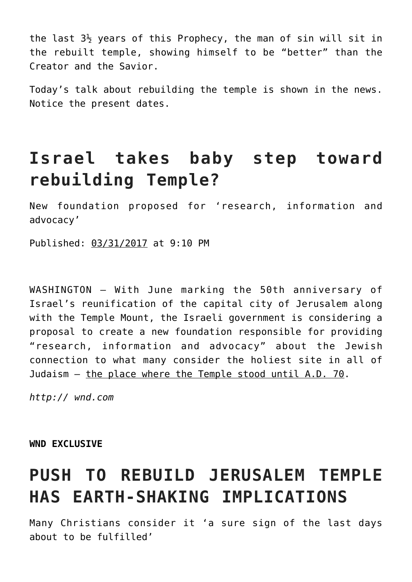the last  $3\frac{1}{2}$  years of this Prophecy, the man of sin will sit in the rebuilt temple, showing himself to be "better" than the Creator and the Savior.

Today's talk about rebuilding the temple is shown in the news. Notice the present dates.

## **Israel takes baby step toward rebuilding Temple?**

New foundation proposed for 'research, information and advocacy'

Published: 03/31/2017 at 9:10 PM

WASHINGTON — With June marking the 50th anniversary of Israel's reunification of the capital city of Jerusalem along with the Temple Mount, the Israeli government is considering a proposal to create a new foundation responsible for providing "research, information and advocacy" about the Jewish connection to what many consider the holiest site in all of Judaism — the place where the Temple stood until A.D. 70.

*http:// wnd.com*

**WND EXCLUSIVE**

# **PUSH TO REBUILD JERUSALEM TEMPLE HAS EARTH-SHAKING IMPLICATIONS**

Many Christians consider it 'a sure sign of the last days about to be fulfilled'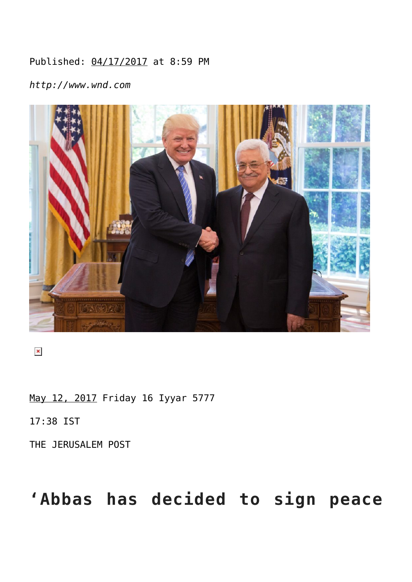## Published: 04/17/2017 at 8:59 PM

*http://www.wnd.com*



 $\pmb{\times}$ 

May 12, 2017 Friday 16 Iyyar 5777

17:38 IST

THE JERUSALEM POST

# **'Abbas has decided to sign peace**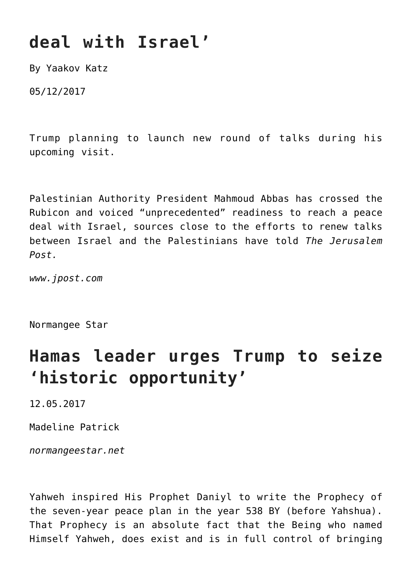# **deal with Israel'**

By Yaakov Katz

05/12/2017

Trump planning to launch new round of talks during his upcoming visit.

Palestinian Authority President Mahmoud Abbas has crossed the Rubicon and voiced "unprecedented" readiness to reach a peace deal with Israel, sources close to the efforts to renew talks between Israel and the Palestinians have told *The Jerusalem Post.*

*www.jpost.com*

Normangee Star

## **Hamas leader urges Trump to seize 'historic opportunity'**

12.05.2017

Madeline Patrick

*normangeestar.net*

Yahweh inspired His Prophet Daniyl to write the Prophecy of the seven-year peace plan in the year 538 BY (before Yahshua). That Prophecy is an absolute fact that the Being who named Himself Yahweh, does exist and is in full control of bringing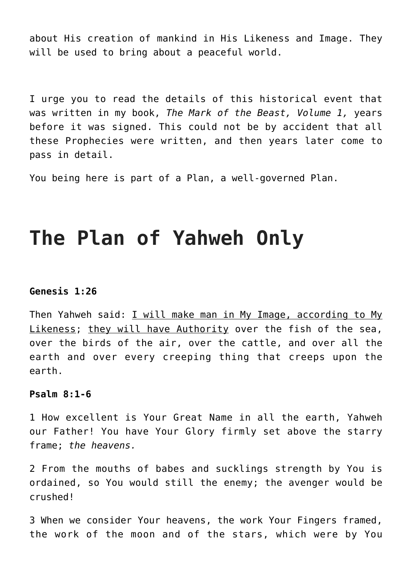about His creation of mankind in His Likeness and Image. They will be used to bring about a peaceful world.

I urge you to read the details of this historical event that was written in my book, *The Mark of the Beast, Volume 1,* years before it was signed. This could not be by accident that all these Prophecies were written, and then years later come to pass in detail.

You being here is part of a Plan, a well-governed Plan.

# **The Plan of Yahweh Only**

#### **Genesis 1:26**

Then Yahweh said: I will make man in My Image, according to My Likeness; they will have Authority over the fish of the sea, over the birds of the air, over the cattle, and over all the earth and over every creeping thing that creeps upon the earth.

#### **Psalm 8:1-6**

1 How excellent is Your Great Name in all the earth, Yahweh our Father! You have Your Glory firmly set above the starry frame; *the heavens.*

2 From the mouths of babes and sucklings strength by You is ordained, so You would still the enemy; the avenger would be crushed!

3 When we consider Your heavens, the work Your Fingers framed, the work of the moon and of the stars, which were by You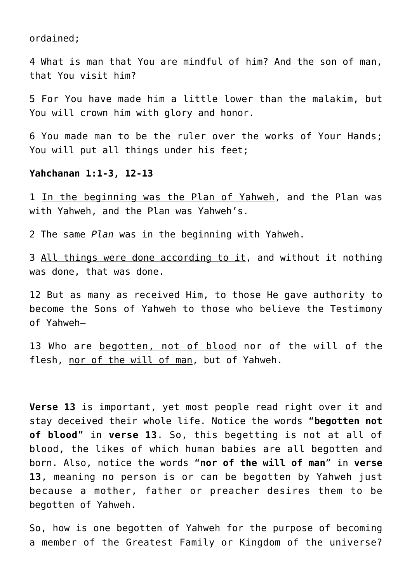ordained;

4 What is man that You are mindful of him? And the son of man, that You visit him?

5 For You have made him a little lower than the malakim, but You will crown him with glory and honor.

6 You made man to be the ruler over the works of Your Hands; You will put all things under his feet:

#### **Yahchanan 1:1-3, 12-13**

1 In the beginning was the Plan of Yahweh, and the Plan was with Yahweh, and the Plan was Yahweh's.

2 The same *Plan* was in the beginning with Yahweh.

3 All things were done according to it, and without it nothing was done, that was done.

12 But as many as received Him, to those He gave authority to become the Sons of Yahweh to those who believe the Testimony of Yahweh—

13 Who are begotten, not of blood nor of the will of the flesh, nor of the will of man, but of Yahweh.

**Verse 13** is important, yet most people read right over it and stay deceived their whole life. Notice the words "**begotten not of blood**" in **verse 13**. So, this begetting is not at all of blood, the likes of which human babies are all begotten and born. Also, notice the words "**nor of the will of man**" in **verse 13**, meaning no person is or can be begotten by Yahweh just because a mother, father or preacher desires them to be begotten of Yahweh.

So, how is one begotten of Yahweh for the purpose of becoming a member of the Greatest Family or Kingdom of the universe?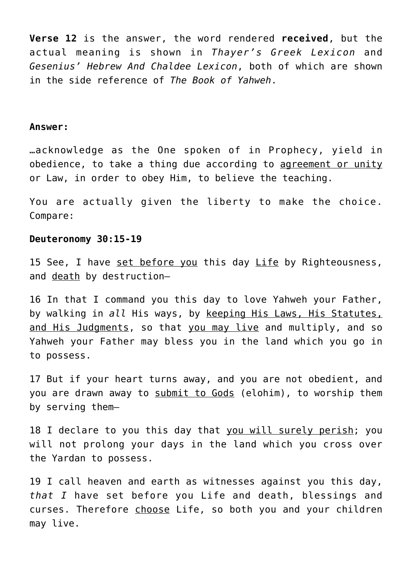**Verse 12** is the answer, the word rendered **received**, but the actual meaning is shown in *Thayer's Greek Lexicon* and *Gesenius' Hebrew And Chaldee Lexicon*, both of which are shown in the side reference of *The Book of Yahweh*.

#### **Answer:**

…acknowledge as the One spoken of in Prophecy, yield in obedience, to take a thing due according to agreement or unity or Law, in order to obey Him, to believe the teaching.

You are actually given the liberty to make the choice. Compare:

#### **Deuteronomy 30:15-19**

15 See, I have set before you this day Life by Righteousness, and death by destruction—

16 In that I command you this day to love Yahweh your Father, by walking in *all* His ways, by keeping His Laws, His Statutes, and His Judgments, so that you may live and multiply, and so Yahweh your Father may bless you in the land which you go in to possess.

17 But if your heart turns away, and you are not obedient, and you are drawn away to submit to Gods (elohim), to worship them by serving them—

18 I declare to you this day that you will surely perish; you will not prolong your days in the land which you cross over the Yardan to possess.

19 I call heaven and earth as witnesses against you this day, *that I* have set before you Life and death, blessings and curses. Therefore choose Life, so both you and your children may live.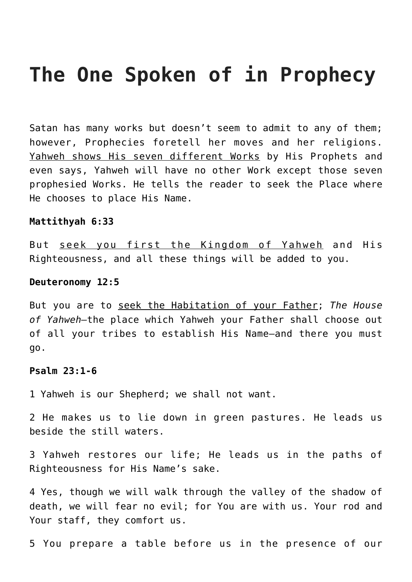# **The One Spoken of in Prophecy**

Satan has many works but doesn't seem to admit to any of them; however, Prophecies foretell her moves and her religions. Yahweh shows His seven different Works by His Prophets and even says, Yahweh will have no other Work except those seven prophesied Works. He tells the reader to seek the Place where He chooses to place His Name.

#### **Mattithyah 6:33**

But seek you first the Kingdom of Yahweh and His Righteousness, and all these things will be added to you.

#### **Deuteronomy 12:5**

But you are to seek the Habitation of your Father; *The House of Yahweh—*the place which Yahweh your Father shall choose out of all your tribes to establish His Name—and there you must go.

#### **Psalm 23:1-6**

1 Yahweh is our Shepherd; we shall not want.

2 He makes us to lie down in green pastures. He leads us beside the still waters.

3 Yahweh restores our life; He leads us in the paths of Righteousness for His Name's sake.

4 Yes, though we will walk through the valley of the shadow of death, we will fear no evil; for You are with us. Your rod and Your staff, they comfort us.

5 You prepare a table before us in the presence of our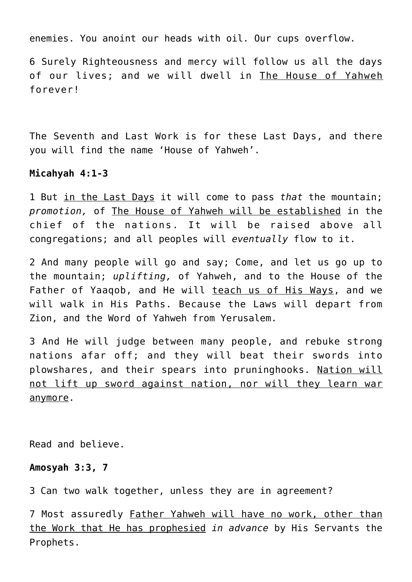enemies. You anoint our heads with oil. Our cups overflow.

6 Surely Righteousness and mercy will follow us all the days of our lives; and we will dwell in The House of Yahweh forever!

The Seventh and Last Work is for these Last Days, and there you will find the name 'House of Yahweh'.

#### **Micahyah 4:1-3**

1 But in the Last Days it will come to pass *that* the mountain; *promotion,* of The House of Yahweh will be established in the chief of the nations. It will be raised above all congregations; and all peoples will *eventually* flow to it.

2 And many people will go and say; Come, and let us go up to the mountain; *uplifting,* of Yahweh, and to the House of the Father of Yaaqob, and He will teach us of His Ways, and we will walk in His Paths. Because the Laws will depart from Zion, and the Word of Yahweh from Yerusalem.

3 And He will judge between many people, and rebuke strong nations afar off; and they will beat their swords into plowshares, and their spears into pruninghooks. Nation will not lift up sword against nation, nor will they learn war anymore.

Read and believe.

#### **Amosyah 3:3, 7**

3 Can two walk together, unless they are in agreement?

7 Most assuredly Father Yahweh will have no work, other than the Work that He has prophesied *in advance* by His Servants the Prophets.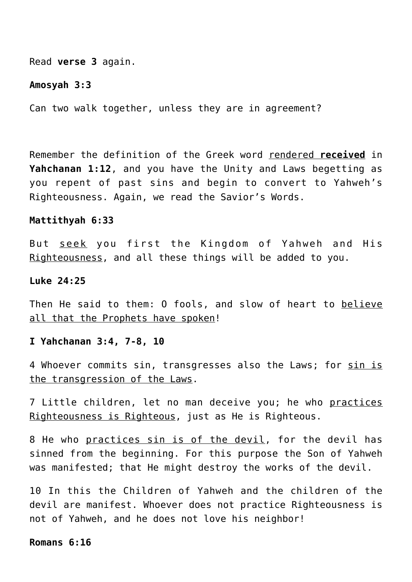Read **verse 3** again.

#### **Amosyah 3:3**

Can two walk together, unless they are in agreement?

Remember the definition of the Greek word rendered **received** in **Yahchanan 1:12**, and you have the Unity and Laws begetting as you repent of past sins and begin to convert to Yahweh's Righteousness. Again, we read the Savior's Words.

#### **Mattithyah 6:33**

But seek you first the Kingdom of Yahweh and His Righteousness, and all these things will be added to you.

#### **Luke 24:25**

Then He said to them: 0 fools, and slow of heart to believe all that the Prophets have spoken!

#### **I Yahchanan 3:4, 7-8, 10**

4 Whoever commits sin, transgresses also the Laws; for sin is the transgression of the Laws.

7 Little children, let no man deceive you; he who practices Righteousness is Righteous, just as He is Righteous.

8 He who practices sin is of the devil, for the devil has sinned from the beginning. For this purpose the Son of Yahweh was manifested; that He might destroy the works of the devil.

10 In this the Children of Yahweh and the children of the devil are manifest. Whoever does not practice Righteousness is not of Yahweh, and he does not love his neighbor!

#### **Romans 6:16**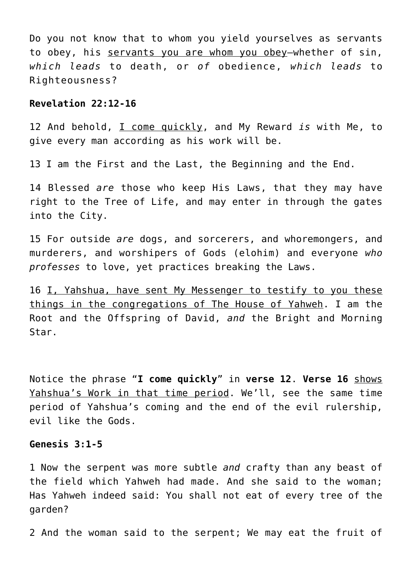Do you not know that to whom you yield yourselves as servants to obey, his servants you are whom you obey—whether of sin, *which leads* to death, or *of* obedience, *which leads* to Righteousness?

#### **Revelation 22:12-16**

12 And behold, I come quickly, and My Reward *is* with Me, to give every man according as his work will be.

13 I am the First and the Last, the Beginning and the End.

14 Blessed *are* those who keep His Laws, that they may have right to the Tree of Life, and may enter in through the gates into the City.

15 For outside *are* dogs, and sorcerers, and whoremongers, and murderers, and worshipers of Gods (elohim) and everyone *who professes* to love, yet practices breaking the Laws.

16 I, Yahshua, have sent My Messenger to testify to you these things in the congregations of The House of Yahweh. I am the Root and the Offspring of David, *and* the Bright and Morning Star.

Notice the phrase "**I come quickly**" in **verse 12**. **Verse 16** shows Yahshua's Work in that time period. We'll, see the same time period of Yahshua's coming and the end of the evil rulership, evil like the Gods.

#### **Genesis 3:1-5**

1 Now the serpent was more subtle *and* crafty than any beast of the field which Yahweh had made. And she said to the woman; Has Yahweh indeed said: You shall not eat of every tree of the garden?

2 And the woman said to the serpent; We may eat the fruit of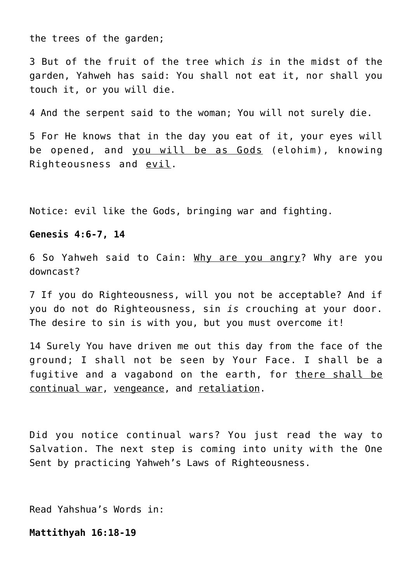the trees of the garden;

3 But of the fruit of the tree which *is* in the midst of the garden, Yahweh has said: You shall not eat it, nor shall you touch it, or you will die.

4 And the serpent said to the woman; You will not surely die.

5 For He knows that in the day you eat of it, your eyes will be opened, and you will be as Gods (elohim), knowing Righteousness and evil.

Notice: evil like the Gods, bringing war and fighting.

#### **Genesis 4:6-7, 14**

6 So Yahweh said to Cain: Why are you angry? Why are you downcast?

7 If you do Righteousness, will you not be acceptable? And if you do not do Righteousness, sin *is* crouching at your door. The desire to sin is with you, but you must overcome it!

14 Surely You have driven me out this day from the face of the ground; I shall not be seen by Your Face. I shall be a fugitive and a vagabond on the earth, for there shall be continual war, vengeance, and retaliation.

Did you notice continual wars? You just read the way to Salvation. The next step is coming into unity with the One Sent by practicing Yahweh's Laws of Righteousness.

Read Yahshua's Words in:

**Mattithyah 16:18-19**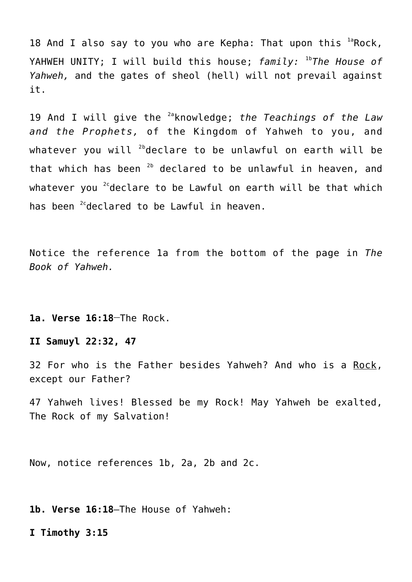18 And I also say to you who are Kepha: That upon this  $1a$ Rock, YAHWEH UNITY; I will build this house; *family:* 1b*The House of Yahweh,* and the gates of sheol (hell) will not prevail against it.

19 And I will give the 2aknowledge; *the Teachings of the Law and the Prophets,* of the Kingdom of Yahweh to you, and whatever you will  $^{2b}$ declare to be unlawful on earth will be that which has been  $2b$  declared to be unlawful in heaven, and whatever you  $2c$  declare to be Lawful on earth will be that which has been <sup>2c</sup>declared to be Lawful in heaven.

Notice the reference 1a from the bottom of the page in *The Book of Yahweh.*

**1a. Verse 16:18\_\_**The Rock.

**II Samuyl 22:32, 47**

32 For who is the Father besides Yahweh? And who is a Rock, except our Father?

47 Yahweh lives! Blessed be my Rock! May Yahweh be exalted, The Rock of my Salvation!

Now, notice references 1b, 2a, 2b and 2c.

**1b. Verse 16:18**—The House of Yahweh:

**I Timothy 3:15**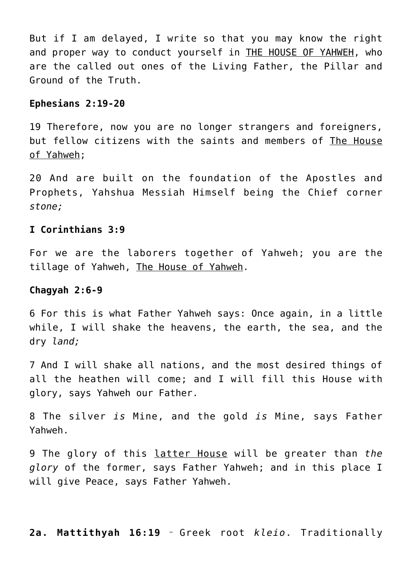But if I am delayed, I write so that you may know the right and proper way to conduct yourself in THE HOUSE OF YAHWEH, who are the called out ones of the Living Father, the Pillar and Ground of the Truth.

#### **Ephesians 2:19-20**

19 Therefore, now you are no longer strangers and foreigners, but fellow citizens with the saints and members of The House of Yahweh;

20 And are built on the foundation of the Apostles and Prophets, Yahshua Messiah Himself being the Chief corner *stone;*

#### **I Corinthians 3:9**

For we are the laborers together of Yahweh; you are the tillage of Yahweh, The House of Yahweh.

#### **Chagyah 2:6-9**

6 For this is what Father Yahweh says: Once again, in a little while, I will shake the heavens, the earth, the sea, and the dry *land;*

7 And I will shake all nations, and the most desired things of all the heathen will come; and I will fill this House with glory, says Yahweh our Father.

8 The silver *is* Mine, and the gold *is* Mine, says Father Yahweh.

9 The glory of this latter House will be greater than *the glory* of the former, says Father Yahweh; and in this place I will give Peace, says Father Yahweh.

**2a. Mattithyah 16:19 \_** Greek root *kleio*. Traditionally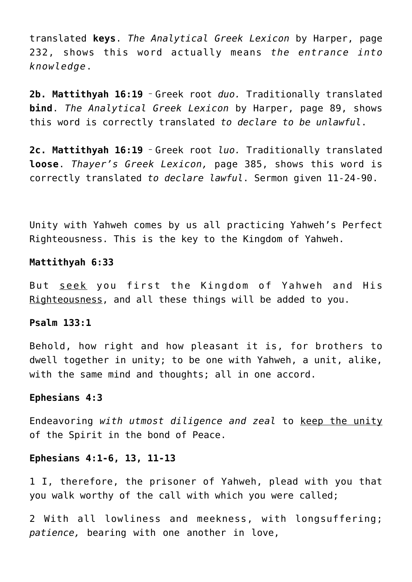translated **keys**. *The Analytical Greek Lexicon* by Harper, page 232, shows this word actually means *the entrance into knowledge*.

**2b. Mattithyah 16:19 \_** Greek root *duo.* Traditionally translated **bind**. *The Analytical Greek Lexicon* by Harper, page 89, shows this word is correctly translated *to declare to be unlawful*.

**2c. Mattithyah 16:19 \_** Greek root *luo.* Traditionally translated **loose**. *Thayer's Greek Lexicon,* page 385, shows this word is correctly translated *to declare lawful*. Sermon given 11-24-90.

Unity with Yahweh comes by us all practicing Yahweh's Perfect Righteousness. This is the key to the Kingdom of Yahweh.

### **Mattithyah 6:33**

But seek you first the Kingdom of Yahweh and His Righteousness, and all these things will be added to you.

#### **Psalm 133:1**

Behold, how right and how pleasant it is, for brothers to dwell together in unity; to be one with Yahweh, a unit, alike, with the same mind and thoughts; all in one accord.

#### **Ephesians 4:3**

Endeavoring *with utmost diligence and zeal* to keep the unity of the Spirit in the bond of Peace.

## **Ephesians 4:1-6, 13, 11-13**

1 I, therefore, the prisoner of Yahweh, plead with you that you walk worthy of the call with which you were called;

2 With all lowliness and meekness, with longsuffering; *patience,* bearing with one another in love,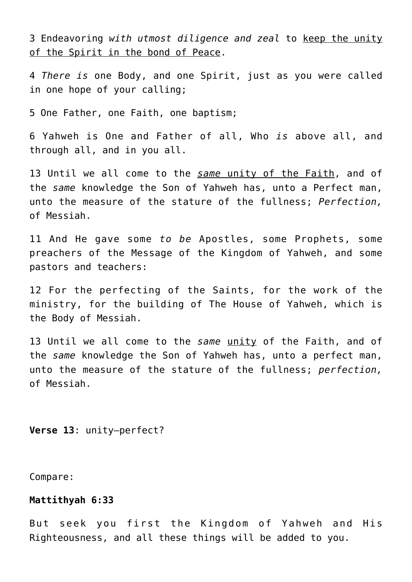3 Endeavoring *with utmost diligence and zeal* to keep the unity of the Spirit in the bond of Peace.

4 *There is* one Body, and one Spirit, just as you were called in one hope of your calling;

5 One Father, one Faith, one baptism;

6 Yahweh is One and Father of all, Who *is* above all, and through all, and in you all.

13 Until we all come to the *same* unity of the Faith, and of the *same* knowledge the Son of Yahweh has, unto a Perfect man, unto the measure of the stature of the fullness; *Perfection,* of Messiah.

11 And He gave some *to be* Apostles, some Prophets, some preachers of the Message of the Kingdom of Yahweh, and some pastors and teachers:

12 For the perfecting of the Saints, for the work of the ministry, for the building of The House of Yahweh, which is the Body of Messiah.

13 Until we all come to the *same* unity of the Faith, and of the *same* knowledge the Son of Yahweh has, unto a perfect man, unto the measure of the stature of the fullness; *perfection,* of Messiah.

**Verse 13**: unity—perfect?

Compare:

#### **Mattithyah 6:33**

But seek you first the Kingdom of Yahweh and His Righteousness, and all these things will be added to you.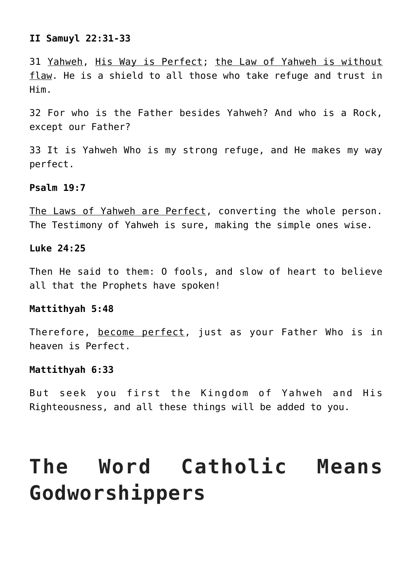## **II Samuyl 22:31-33**

31 Yahweh, His Way is Perfect; the Law of Yahweh is without flaw. He is a shield to all those who take refuge and trust in Him.

32 For who is the Father besides Yahweh? And who is a Rock, except our Father?

33 It is Yahweh Who is my strong refuge, and He makes my way perfect.

### **Psalm 19:7**

The Laws of Yahweh are Perfect, converting the whole person. The Testimony of Yahweh is sure, making the simple ones wise.

#### **Luke 24:25**

Then He said to them: O fools, and slow of heart to believe all that the Prophets have spoken!

#### **Mattithyah 5:48**

Therefore, become perfect, just as your Father Who is in heaven is Perfect.

## **Mattithyah 6:33**

But seek you first the Kingdom of Yahweh and His Righteousness, and all these things will be added to you.

# **The Word Catholic Means Godworshippers**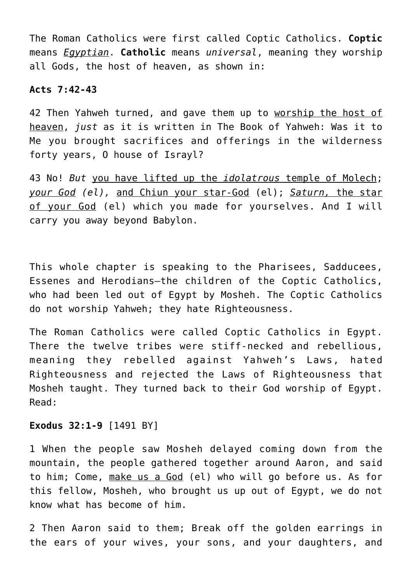The Roman Catholics were first called Coptic Catholics. **Coptic** means *Egyptian*. **Catholic** means *universal*, meaning they worship all Gods, the host of heaven, as shown in:

#### **Acts 7:42-43**

42 Then Yahweh turned, and gave them up to worship the host of heaven, *just* as it is written in The Book of Yahweh: Was it to Me you brought sacrifices and offerings in the wilderness forty years, O house of Israyl?

43 No! *But* you have lifted up the *idolatrous* temple of Molech; *your God (el),* and Chiun your star-God (el); *Saturn,* the star of your God (el) which you made for yourselves. And I will carry you away beyond Babylon.

This whole chapter is speaking to the Pharisees, Sadducees, Essenes and Herodians—the children of the Coptic Catholics, who had been led out of Egypt by Mosheh. The Coptic Catholics do not worship Yahweh; they hate Righteousness.

The Roman Catholics were called Coptic Catholics in Egypt. There the twelve tribes were stiff-necked and rebellious, meaning they rebelled against Yahweh's Laws, hated Righteousness and rejected the Laws of Righteousness that Mosheh taught. They turned back to their God worship of Egypt. Read:

#### **Exodus 32:1-9** [1491 BY]

1 When the people saw Mosheh delayed coming down from the mountain, the people gathered together around Aaron, and said to him; Come, make us a God (el) who will go before us. As for this fellow, Mosheh, who brought us up out of Egypt, we do not know what has become of him.

2 Then Aaron said to them; Break off the golden earrings in the ears of your wives, your sons, and your daughters, and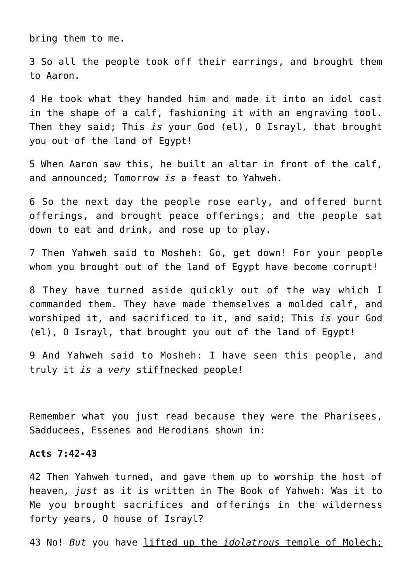bring them to me.

3 So all the people took off their earrings, and brought them to Aaron.

4 He took what they handed him and made it into an idol cast in the shape of a calf, fashioning it with an engraving tool. Then they said; This *is* your God (el), O Israyl, that brought you out of the land of Egypt!

5 When Aaron saw this, he built an altar in front of the calf, and announced; Tomorrow *is* a feast to Yahweh.

6 So the next day the people rose early, and offered burnt offerings, and brought peace offerings; and the people sat down to eat and drink, and rose up to play.

7 Then Yahweh said to Mosheh: Go, get down! For your people whom you brought out of the land of Egypt have become corrupt!

8 They have turned aside quickly out of the way which I commanded them. They have made themselves a molded calf, and worshiped it, and sacrificed to it, and said; This *is* your God (el), O Israyl, that brought you out of the land of Egypt!

9 And Yahweh said to Mosheh: I have seen this people, and truly it *is* a *very* stiffnecked people!

Remember what you just read because they were the Pharisees, Sadducees, Essenes and Herodians shown in:

#### **Acts 7:42-43**

42 Then Yahweh turned, and gave them up to worship the host of heaven, *just* as it is written in The Book of Yahweh: Was it to Me you brought sacrifices and offerings in the wilderness forty years, O house of Israyl?

43 No! *But* you have lifted up the *idolatrous* temple of Molech;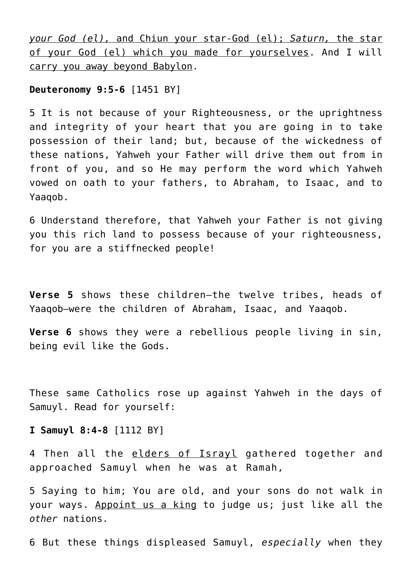*your God (el),* and Chiun your star-God (el); *Saturn,* the star of your God (el) which you made for yourselves. And I will carry you away beyond Babylon.

#### **Deuteronomy 9:5-6** [1451 BY]

5 It is not because of your Righteousness, or the uprightness and integrity of your heart that you are going in to take possession of their land; but, because of the wickedness of these nations, Yahweh your Father will drive them out from in front of you, and so He may perform the word which Yahweh vowed on oath to your fathers, to Abraham, to Isaac, and to Yaaqob.

6 Understand therefore, that Yahweh your Father is not giving you this rich land to possess because of your righteousness, for you are a stiffnecked people!

**Verse 5** shows these children—the twelve tribes, heads of Yaaqob—were the children of Abraham, Isaac, and Yaaqob.

**Verse 6** shows they were a rebellious people living in sin, being evil like the Gods.

These same Catholics rose up against Yahweh in the days of Samuyl. Read for yourself:

**I Samuyl 8:4-8** [1112 BY]

4 Then all the elders of Israyl gathered together and approached Samuyl when he was at Ramah,

5 Saying to him; You are old, and your sons do not walk in your ways. Appoint us a king to judge us; just like all the *other* nations.

6 But these things displeased Samuyl, *especially* when they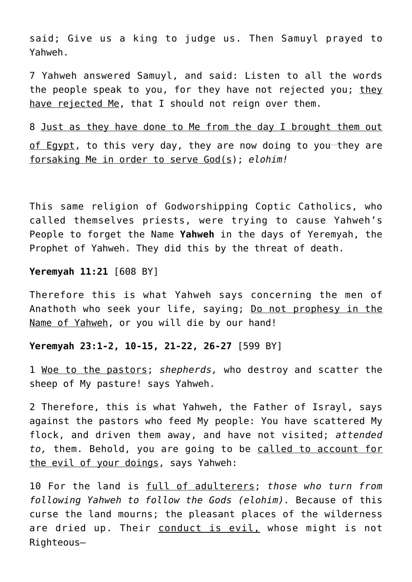said; Give us a king to judge us. Then Samuyl prayed to Yahweh.

7 Yahweh answered Samuyl, and said: Listen to all the words the people speak to you, for they have not rejected you; they have rejected Me, that I should not reign over them.

8 Just as they have done to Me from the day I brought them out of Egypt, to this very day, they are now doing to you-they are forsaking Me in order to serve God(s); *elohim!*

This same religion of Godworshipping Coptic Catholics, who called themselves priests, were trying to cause Yahweh's People to forget the Name **Yahweh** in the days of Yeremyah, the Prophet of Yahweh. They did this by the threat of death.

### **Yeremyah 11:21** [608 BY]

Therefore this is what Yahweh says concerning the men of Anathoth who seek your life, saying; Do not prophesy in the Name of Yahweh, or you will die by our hand!

#### **Yeremyah 23:1-2, 10-15, 21-22, 26-27** [599 BY]

1 Woe to the pastors; *shepherds,* who destroy and scatter the sheep of My pasture! says Yahweh.

2 Therefore, this is what Yahweh, the Father of Israyl, says against the pastors who feed My people: You have scattered My flock, and driven them away, and have not visited; *attended to,* them. Behold, you are going to be called to account for the evil of your doings, says Yahweh:

10 For the land is full of adulterers; *those who turn from following Yahweh to follow the Gods (elohim).* Because of this curse the land mourns; the pleasant places of the wilderness are dried up. Their conduct is evil, whose might is not Righteous—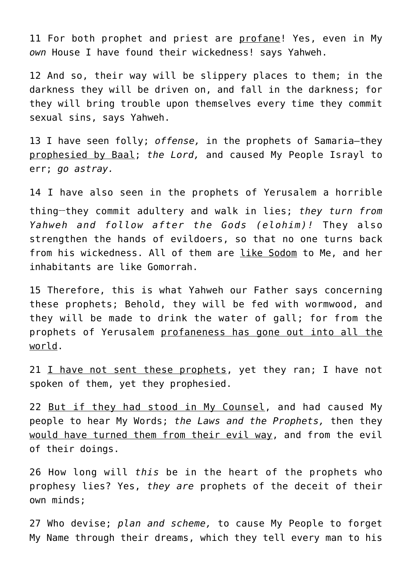11 For both prophet and priest are profane! Yes, even in My *own* House I have found their wickedness! says Yahweh.

12 And so, their way will be slippery places to them; in the darkness they will be driven on, and fall in the darkness; for they will bring trouble upon themselves every time they commit sexual sins, says Yahweh.

13 I have seen folly; *offense,* in the prophets of Samaria—they prophesied by Baal; *the Lord,* and caused My People Israyl to err; *go astray.*

14 I have also seen in the prophets of Yerusalem a horrible thing**\_\_**they commit adultery and walk in lies; *they turn from Yahweh and follow after the Gods (elohim)!* They also strengthen the hands of evildoers, so that no one turns back from his wickedness. All of them are like Sodom to Me, and her inhabitants are like Gomorrah.

15 Therefore, this is what Yahweh our Father says concerning these prophets; Behold, they will be fed with wormwood, and they will be made to drink the water of gall; for from the prophets of Yerusalem profaneness has gone out into all the world.

21  $I$  have not sent these prophets, yet they ran; I have not spoken of them, yet they prophesied.

22 But if they had stood in My Counsel, and had caused My people to hear My Words; *the Laws and the Prophets,* then they would have turned them from their evil way, and from the evil of their doings.

26 How long will *this* be in the heart of the prophets who prophesy lies? Yes, *they are* prophets of the deceit of their own minds;

27 Who devise; *plan and scheme,* to cause My People to forget My Name through their dreams, which they tell every man to his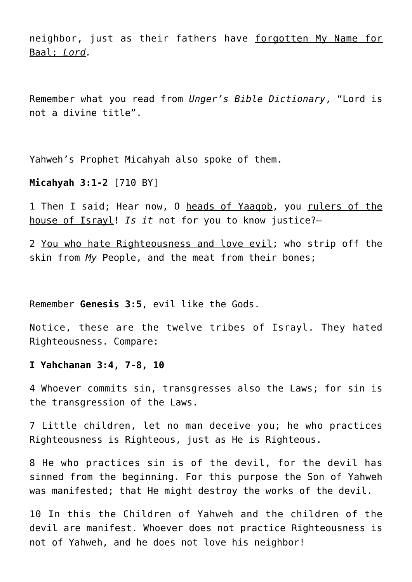neighbor, just as their fathers have forgotten My Name for Baal; *Lord.*

Remember what you read from *Unger's Bible Dictionary*, "Lord is not a divine title".

Yahweh's Prophet Micahyah also spoke of them.

#### **Micahyah 3:1-2** [710 BY]

1 Then I said; Hear now, O heads of Yaaqob, you rulers of the house of Israyl! *Is it* not for you to know justice?—

2 You who hate Righteousness and love evil; who strip off the skin from *My* People, and the meat from their bones;

Remember **Genesis 3:5**, evil like the Gods.

Notice, these are the twelve tribes of Israyl. They hated Righteousness. Compare:

#### **I Yahchanan 3:4, 7-8, 10**

4 Whoever commits sin, transgresses also the Laws; for sin is the transgression of the Laws.

7 Little children, let no man deceive you; he who practices Righteousness is Righteous, just as He is Righteous.

8 He who practices sin is of the devil, for the devil has sinned from the beginning. For this purpose the Son of Yahweh was manifested; that He might destroy the works of the devil.

10 In this the Children of Yahweh and the children of the devil are manifest. Whoever does not practice Righteousness is not of Yahweh, and he does not love his neighbor!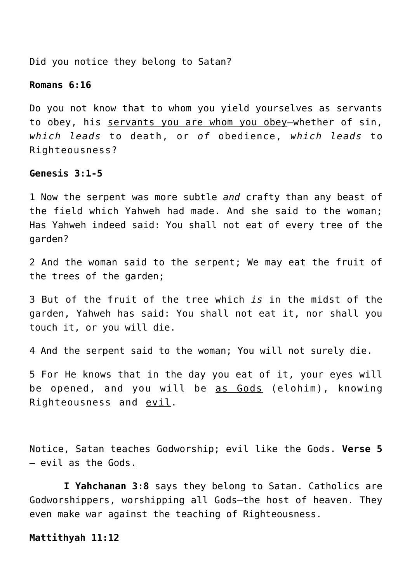Did you notice they belong to Satan?

#### **Romans 6:16**

Do you not know that to whom you yield yourselves as servants to obey, his servants you are whom you obey—whether of sin, *which leads* to death, or *of* obedience, *which leads* to Righteousness?

#### **Genesis 3:1-5**

1 Now the serpent was more subtle *and* crafty than any beast of the field which Yahweh had made. And she said to the woman; Has Yahweh indeed said: You shall not eat of every tree of the garden?

2 And the woman said to the serpent; We may eat the fruit of the trees of the garden;

3 But of the fruit of the tree which *is* in the midst of the garden, Yahweh has said: You shall not eat it, nor shall you touch it, or you will die.

4 And the serpent said to the woman; You will not surely die.

5 For He knows that in the day you eat of it, your eyes will be opened, and you will be as Gods (elohim), knowing Righteousness and evil.

Notice, Satan teaches Godworship; evil like the Gods. **Verse 5** – evil as the Gods.

 **I Yahchanan 3:8** says they belong to Satan. Catholics are Godworshippers, worshipping all Gods—the host of heaven. They even make war against the teaching of Righteousness.

#### **Mattithyah 11:12**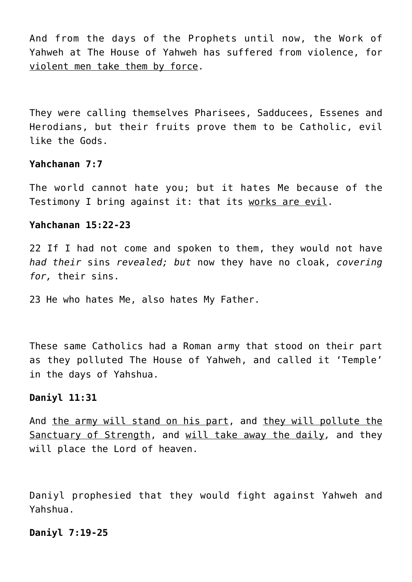And from the days of the Prophets until now, the Work of Yahweh at The House of Yahweh has suffered from violence, for violent men take them by force.

They were calling themselves Pharisees, Sadducees, Essenes and Herodians, but their fruits prove them to be Catholic, evil like the Gods.

#### **Yahchanan 7:7**

The world cannot hate you; but it hates Me because of the Testimony I bring against it: that its works are evil.

### **Yahchanan 15:22-23**

22 If I had not come and spoken to them, they would not have *had their* sins *revealed; but* now they have no cloak, *covering for,* their sins.

23 He who hates Me, also hates My Father.

These same Catholics had a Roman army that stood on their part as they polluted The House of Yahweh, and called it 'Temple' in the days of Yahshua.

#### **Daniyl 11:31**

And the army will stand on his part, and they will pollute the Sanctuary of Strength, and will take away the daily*,* and they will place the Lord of heaven.

Daniyl prophesied that they would fight against Yahweh and Yahshua.

#### **Daniyl 7:19-25**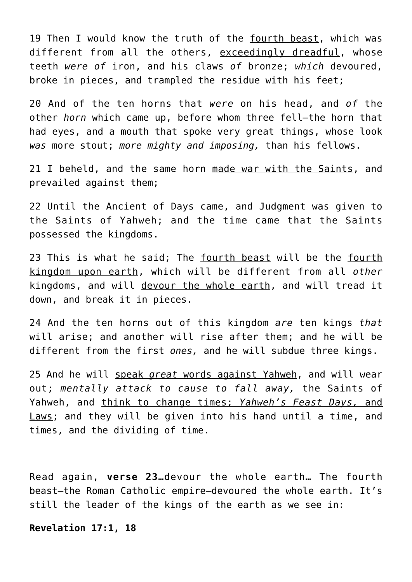19 Then I would know the truth of the fourth beast, which was different from all the others, exceedingly dreadful, whose teeth *were of* iron, and his claws *of* bronze; *which* devoured, broke in pieces, and trampled the residue with his feet;

20 And of the ten horns that *were* on his head, and *of* the other *horn* which came up, before whom three fell—the horn that had eyes, and a mouth that spoke very great things, whose look *was* more stout; *more mighty and imposing,* than his fellows.

21 I beheld, and the same horn made war with the Saints, and prevailed against them;

22 Until the Ancient of Days came, and Judgment was given to the Saints of Yahweh; and the time came that the Saints possessed the kingdoms.

23 This is what he said; The fourth beast will be the fourth kingdom upon earth, which will be different from all *other* kingdoms, and will devour the whole earth, and will tread it down, and break it in pieces.

24 And the ten horns out of this kingdom *are* ten kings *that* will arise; and another will rise after them; and he will be different from the first *ones,* and he will subdue three kings.

25 And he will speak *great* words against Yahweh, and will wear out; *mentally attack to cause to fall away,* the Saints of Yahweh, and think to change times; *Yahweh's Feast Days,* and Laws; and they will be given into his hand until a time, and times, and the dividing of time.

Read again, **verse 23**…devour the whole earth… The fourth beast—the Roman Catholic empire—devoured the whole earth. It's still the leader of the kings of the earth as we see in:

**Revelation 17:1, 18**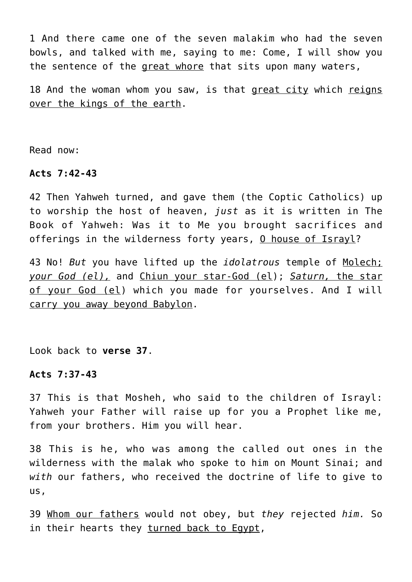1 And there came one of the seven malakim who had the seven bowls, and talked with me, saying to me: Come, I will show you the sentence of the great whore that sits upon many waters,

18 And the woman whom you saw, is that great city which reigns over the kings of the earth.

Read now:

## **Acts 7:42-43**

42 Then Yahweh turned, and gave them (the Coptic Catholics) up to worship the host of heaven, *just* as it is written in The Book of Yahweh: Was it to Me you brought sacrifices and offerings in the wilderness forty years, O house of Israyl?

43 No! *But* you have lifted up the *idolatrous* temple of Molech; *your God (el),* and Chiun your star-God (el); *Saturn,* the star of your God (el) which you made for yourselves. And I will carry you away beyond Babylon.

Look back to **verse 37**.

## **Acts 7:37-43**

37 This is that Mosheh, who said to the children of Israyl: Yahweh your Father will raise up for you a Prophet like me, from your brothers. Him you will hear.

38 This is he, who was among the called out ones in the wilderness with the malak who spoke to him on Mount Sinai; and *with* our fathers, who received the doctrine of life to give to us,

39 Whom our fathers would not obey, but *they* rejected *him.* So in their hearts they turned back to Egypt,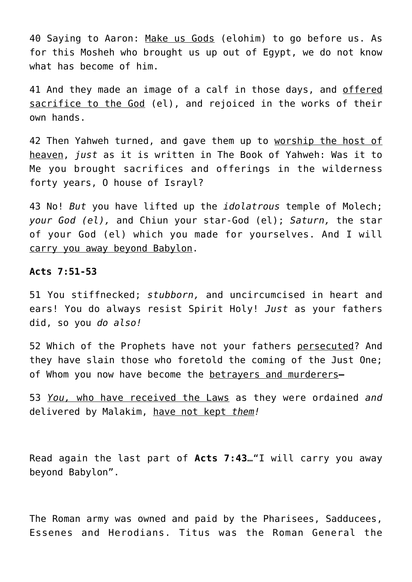40 Saying to Aaron: Make us Gods (elohim) to go before us. As for this Mosheh who brought us up out of Egypt, we do not know what has become of him.

41 And they made an image of a calf in those days, and offered sacrifice to the God (el), and rejoiced in the works of their own hands.

42 Then Yahweh turned, and gave them up to worship the host of heaven, *just* as it is written in The Book of Yahweh: Was it to Me you brought sacrifices and offerings in the wilderness forty years, O house of Israyl?

43 No! *But* you have lifted up the *idolatrous* temple of Molech; *your God (el),* and Chiun your star-God (el); *Saturn,* the star of your God (el) which you made for yourselves. And I will carry you away beyond Babylon.

#### **Acts 7:51-53**

51 You stiffnecked; *stubborn,* and uncircumcised in heart and ears! You do always resist Spirit Holy! *Just* as your fathers did, so you *do also!*

52 Which of the Prophets have not your fathers persecuted? And they have slain those who foretold the coming of the Just One; of Whom you now have become the betrayers and murderers**—**

53 *You,* who have received the Laws as they were ordained *and* delivered by Malakim, have not kept *them!*

Read again the last part of **Acts 7:43**…"I will carry you away beyond Babylon".

The Roman army was owned and paid by the Pharisees, Sadducees, Essenes and Herodians. Titus was the Roman General the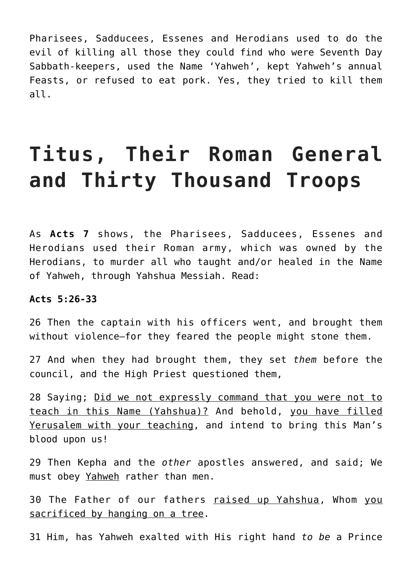Pharisees, Sadducees, Essenes and Herodians used to do the evil of killing all those they could find who were Seventh Day Sabbath-keepers, used the Name 'Yahweh', kept Yahweh's annual Feasts, or refused to eat pork. Yes, they tried to kill them all.

# **Titus, Their Roman General and Thirty Thousand Troops**

As **Acts 7** shows, the Pharisees, Sadducees, Essenes and Herodians used their Roman army, which was owned by the Herodians, to murder all who taught and/or healed in the Name of Yahweh, through Yahshua Messiah. Read:

#### **Acts 5:26-33**

26 Then the captain with his officers went, and brought them without violence—for they feared the people might stone them.

27 And when they had brought them, they set *them* before the council, and the High Priest questioned them,

28 Saying; Did we not expressly command that you were not to teach in this Name (Yahshua)? And behold, you have filled Yerusalem with your teaching, and intend to bring this Man's blood upon us!

29 Then Kepha and the *other* apostles answered, and said; We must obey Yahweh rather than men.

30 The Father of our fathers raised up Yahshua, Whom you sacrificed by hanging on a tree.

31 Him, has Yahweh exalted with His right hand *to be* a Prince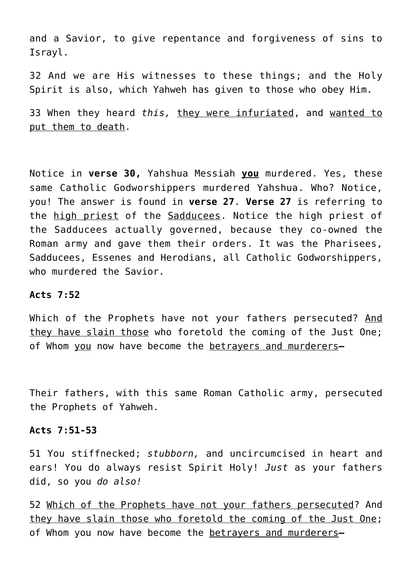and a Savior, to give repentance and forgiveness of sins to Israyl.

32 And we are His witnesses to these things; and the Holy Spirit is also, which Yahweh has given to those who obey Him.

33 When they heard *this,* they were infuriated, and wanted to put them to death.

Notice in **verse 30,** Yahshua Messiah **you** murdered. Yes, these same Catholic Godworshippers murdered Yahshua. Who? Notice, you! The answer is found in **verse 27**. **Verse 27** is referring to the high priest of the Sadducees. Notice the high priest of the Sadducees actually governed, because they co-owned the Roman army and gave them their orders. It was the Pharisees, Sadducees, Essenes and Herodians, all Catholic Godworshippers, who murdered the Savior.

#### **Acts 7:52**

Which of the Prophets have not your fathers persecuted? And they have slain those who foretold the coming of the Just One; of Whom you now have become the betrayers and murderers**—**

Their fathers, with this same Roman Catholic army, persecuted the Prophets of Yahweh.

#### **Acts 7:51-53**

51 You stiffnecked; *stubborn,* and uncircumcised in heart and ears! You do always resist Spirit Holy! *Just* as your fathers did, so you *do also!*

52 Which of the Prophets have not your fathers persecuted? And they have slain those who foretold the coming of the Just One; of Whom you now have become the betrayers and murderers**—**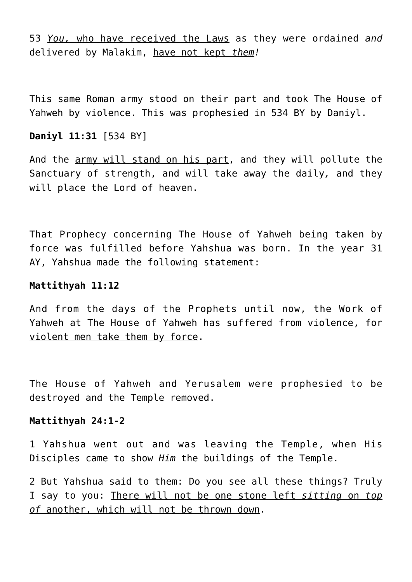53 *You,* who have received the Laws as they were ordained *and* delivered by Malakim, have not kept *them!*

This same Roman army stood on their part and took The House of Yahweh by violence. This was prophesied in 534 BY by Daniyl.

## **Daniyl 11:31** [534 BY]

And the army will stand on his part, and they will pollute the Sanctuary of strength, and will take away the daily*,* and they will place the Lord of heaven.

That Prophecy concerning The House of Yahweh being taken by force was fulfilled before Yahshua was born. In the year 31 AY, Yahshua made the following statement:

#### **Mattithyah 11:12**

And from the days of the Prophets until now, the Work of Yahweh at The House of Yahweh has suffered from violence, for violent men take them by force.

The House of Yahweh and Yerusalem were prophesied to be destroyed and the Temple removed.

#### **Mattithyah 24:1-2**

1 Yahshua went out and was leaving the Temple, when His Disciples came to show *Him* the buildings of the Temple.

2 But Yahshua said to them: Do you see all these things? Truly I say to you: There will not be one stone left *sitting* on *top of* another, which will not be thrown down.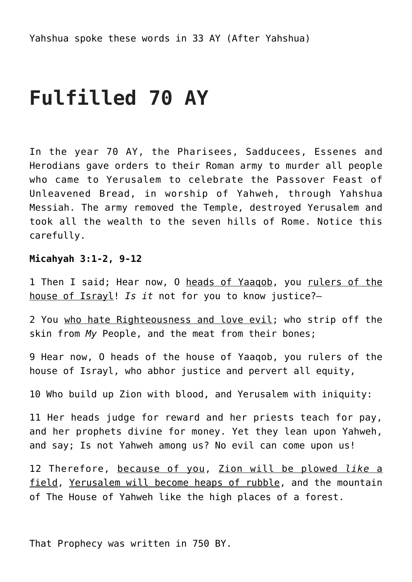# **Fulfilled 70 AY**

In the year 70 AY, the Pharisees, Sadducees, Essenes and Herodians gave orders to their Roman army to murder all people who came to Yerusalem to celebrate the Passover Feast of Unleavened Bread, in worship of Yahweh, through Yahshua Messiah. The army removed the Temple, destroyed Yerusalem and took all the wealth to the seven hills of Rome. Notice this carefully.

### **Micahyah 3:1-2, 9-12**

1 Then I said; Hear now, 0 heads of Yaaqob, you rulers of the house of Israyl! *Is it* not for you to know justice?—

2 You who hate Righteousness and love evil; who strip off the skin from *My* People, and the meat from their bones;

9 Hear now, O heads of the house of Yaaqob, you rulers of the house of Israyl, who abhor justice and pervert all equity,

10 Who build up Zion with blood, and Yerusalem with iniquity:

11 Her heads judge for reward and her priests teach for pay, and her prophets divine for money. Yet they lean upon Yahweh, and say; Is not Yahweh among us? No evil can come upon us!

12 Therefore, because of you, Zion will be plowed *like* a field, Yerusalem will become heaps of rubble, and the mountain of The House of Yahweh like the high places of a forest.

That Prophecy was written in 750 BY.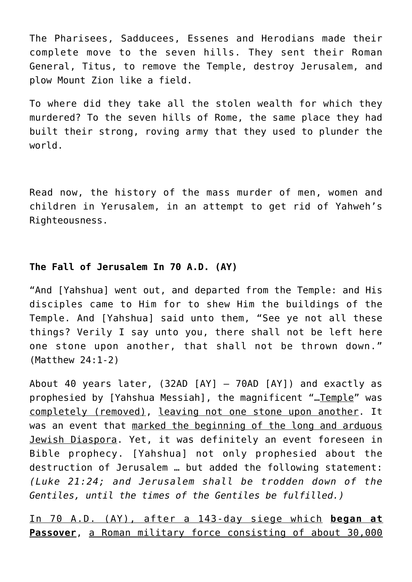The Pharisees, Sadducees, Essenes and Herodians made their complete move to the seven hills. They sent their Roman General, Titus, to remove the Temple, destroy Jerusalem, and plow Mount Zion like a field.

To where did they take all the stolen wealth for which they murdered? To the seven hills of Rome, the same place they had built their strong, roving army that they used to plunder the world.

Read now, the history of the mass murder of men, women and children in Yerusalem, in an attempt to get rid of Yahweh's Righteousness.

## **The Fall of Jerusalem In 70 A.D. (AY)**

"And [Yahshua] went out, and departed from the Temple: and His disciples came to Him for to shew Him the buildings of the Temple. And [Yahshua] said unto them, "See ye not all these things? Verily I say unto you, there shall not be left here one stone upon another, that shall not be thrown down." (Matthew 24:1-2)

About 40 years later, (32AD [AY] – 70AD [AY]) and exactly as prophesied by [Yahshua Messiah], the magnificent "...Temple" was completely (removed), leaving not one stone upon another. It was an event that marked the beginning of the long and arduous Jewish Diaspora. Yet, it was definitely an event foreseen in Bible prophecy. [Yahshua] not only prophesied about the destruction of Jerusalem … but added the following statement: *(Luke 21:24; and Jerusalem shall be trodden down of the Gentiles, until the times of the Gentiles be fulfilled.)*

In 70 A.D. (AY), after a 143-day siege which **began at Passover**, a Roman military force consisting of about 30,000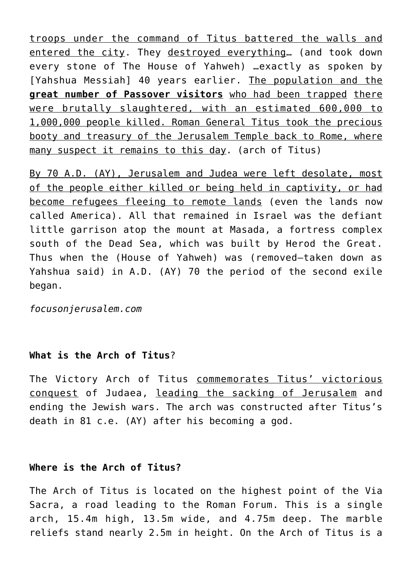troops under the command of Titus battered the walls and entered the city. They destroyed everything… (and took down every stone of The House of Yahweh) …exactly as spoken by [Yahshua Messiah] 40 years earlier. The population and the **great number of Passover visitors** who had been trapped there were brutally slaughtered, with an estimated 600,000 to 1,000,000 people killed. Roman General Titus took the precious booty and treasury of the Jerusalem Temple back to Rome, where many suspect it remains to this day. (arch of Titus)

By 70 A.D. (AY), Jerusalem and Judea were left desolate, most of the people either killed or being held in captivity, or had become refugees fleeing to remote lands (even the lands now called America). All that remained in Israel was the defiant little garrison atop the mount at Masada, a fortress complex south of the Dead Sea, which was built by Herod the Great. Thus when the (House of Yahweh) was (removed—taken down as Yahshua said) in A.D. (AY) 70 the period of the second exile began.

*focusonjerusalem.com*

## **What is the Arch of Titus**?

The Victory Arch of Titus commemorates Titus' victorious conquest of Judaea, leading the sacking of Jerusalem and ending the Jewish wars. The arch was constructed after Titus's death in 81 c.e. (AY) after his becoming a god.

## **Where is the Arch of Titus?**

The Arch of Titus is located on the highest point of the Via Sacra, a road leading to the Roman Forum. This is a single arch, 15.4m high, 13.5m wide, and 4.75m deep. The marble reliefs stand nearly 2.5m in height. On the Arch of Titus is a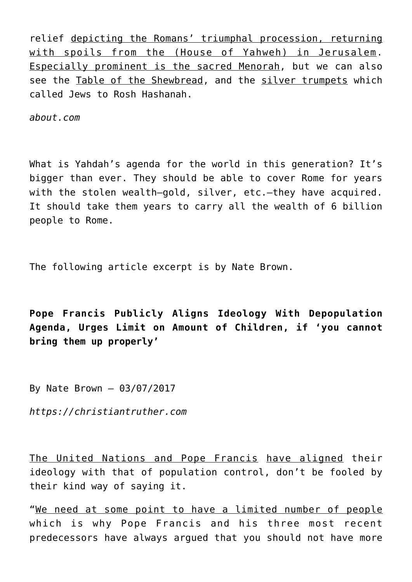relief depicting the Romans' triumphal procession, returning with spoils from the (House of Yahweh) in Jerusalem. Especially prominent is the sacred Menorah, but we can also see the Table of the Shewbread, and the silver trumpets which called Jews to Rosh Hashanah.

*about.com*

What is Yahdah's agenda for the world in this generation? It's bigger than ever. They should be able to cover Rome for years with the stolen wealth-gold, silver, etc.-they have acquired. It should take them years to carry all the wealth of 6 billion people to Rome.

The following article excerpt is by Nate Brown.

**Pope Francis Publicly Aligns Ideology With Depopulation Agenda, Urges Limit on Amount of Children, if 'you cannot bring them up properly'**

By Nate Brown – 03/07/2017

*https://christiantruther.com*

The United Nations and Pope Francis have aligned their ideology with that of population control, don't be fooled by their kind way of saying it.

"We need at some point to have a limited number of people which is why Pope Francis and his three most recent predecessors have always argued that you should not have more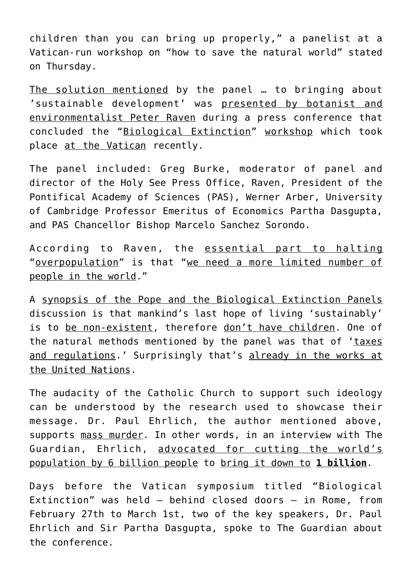children than you can bring up properly," a panelist at a Vatican-run workshop on "how to save the natural world" stated on Thursday.

The solution mentioned by the panel … to bringing about 'sustainable development' was presented by botanist and environmentalist Peter Raven during a press conference that concluded the "Biological Extinction" workshop which took place at the Vatican recently.

The panel included: Greg Burke, moderator of panel and director of the Holy See Press Office, Raven, President of the Pontifical Academy of Sciences (PAS), Werner Arber, University of Cambridge Professor Emeritus of Economics Partha Dasgupta, and PAS Chancellor Bishop Marcelo Sanchez Sorondo.

According to Raven, the essential part to halting "overpopulation" is that "we need a more limited number of people in the world."

A synopsis of the Pope and the Biological Extinction Panels discussion is that mankind's last hope of living 'sustainably' is to be non-existent, therefore don't have children. One of the natural methods mentioned by the panel was that of 'taxes and regulations.' Surprisingly that's already in the works at the United Nations.

The audacity of the Catholic Church to support such ideology can be understood by the research used to showcase their message. Dr. Paul Ehrlich, the author mentioned above, supports mass murder. In other words, in an interview with The Guardian, Ehrlich, advocated for cutting the world's population by 6 billion people to bring it down to **1 billion**.

Days before the Vatican symposium titled "Biological Extinction" was held – behind closed doors – in Rome, from February 27th to March 1st, two of the key speakers, Dr. Paul Ehrlich and Sir Partha Dasgupta, spoke to The Guardian about the conference.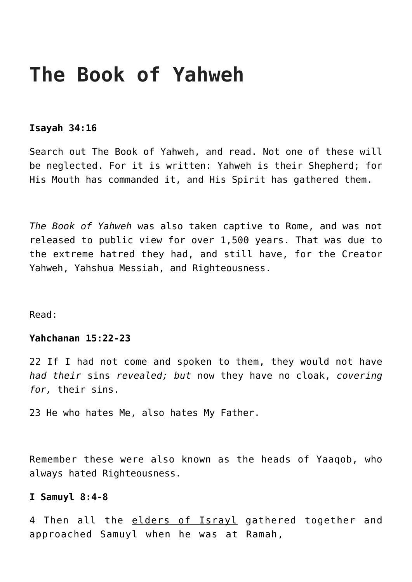# **The Book of Yahweh**

#### **Isayah 34:16**

Search out The Book of Yahweh, and read. Not one of these will be neglected. For it is written: Yahweh is their Shepherd; for His Mouth has commanded it, and His Spirit has gathered them.

*The Book of Yahweh* was also taken captive to Rome, and was not released to public view for over 1,500 years. That was due to the extreme hatred they had, and still have, for the Creator Yahweh, Yahshua Messiah, and Righteousness.

Read:

## **Yahchanan 15:22-23**

22 If I had not come and spoken to them, they would not have *had their* sins *revealed; but* now they have no cloak, *covering for,* their sins.

23 He who hates Me, also hates My Father.

Remember these were also known as the heads of Yaaqob, who always hated Righteousness.

### **I Samuyl 8:4-8**

4 Then all the elders of Israyl gathered together and approached Samuyl when he was at Ramah,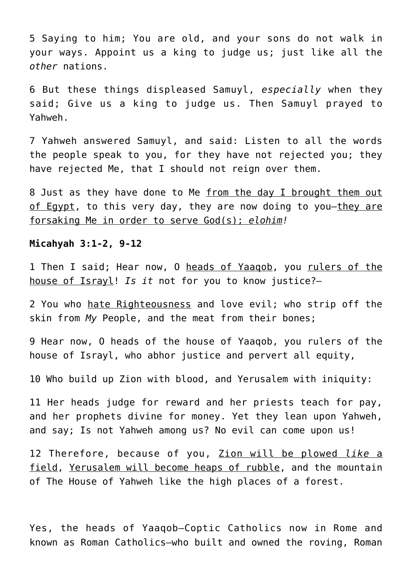5 Saying to him; You are old, and your sons do not walk in your ways. Appoint us a king to judge us; just like all the *other* nations.

6 But these things displeased Samuyl, *especially* when they said; Give us a king to judge us. Then Samuyl prayed to Yahweh.

7 Yahweh answered Samuyl, and said: Listen to all the words the people speak to you, for they have not rejected you; they have rejected Me, that I should not reign over them.

8 Just as they have done to Me from the day I brought them out of Egypt, to this very day, they are now doing to you—they are forsaking Me in order to serve God(s); *elohim!*

#### **Micahyah 3:1-2, 9-12**

1 Then I said; Hear now, O heads of Yaaqob, you rulers of the house of Israyl! *Is it* not for you to know justice?—

2 You who hate Righteousness and love evil; who strip off the skin from *My* People, and the meat from their bones;

9 Hear now, O heads of the house of Yaaqob, you rulers of the house of Israyl, who abhor justice and pervert all equity,

10 Who build up Zion with blood, and Yerusalem with iniquity:

11 Her heads judge for reward and her priests teach for pay, and her prophets divine for money. Yet they lean upon Yahweh, and say; Is not Yahweh among us? No evil can come upon us!

12 Therefore, because of you, Zion will be plowed *like* a field, Yerusalem will become heaps of rubble, and the mountain of The House of Yahweh like the high places of a forest.

Yes, the heads of Yaaqob—Coptic Catholics now in Rome and known as Roman Catholics—who built and owned the roving, Roman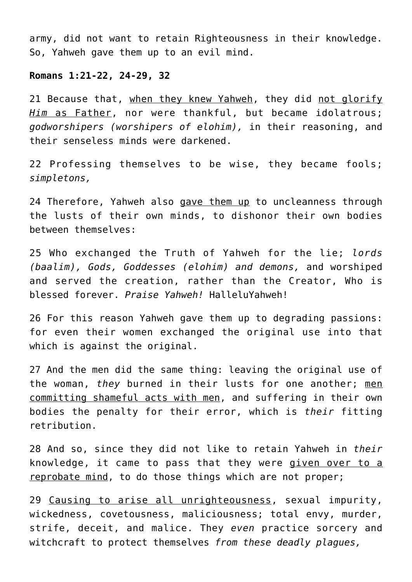army, did not want to retain Righteousness in their knowledge. So, Yahweh gave them up to an evil mind.

### **Romans 1:21-22, 24-29, 32**

21 Because that, when they knew Yahweh, they did not glorify *Him* as Father, nor were thankful, but became idolatrous; *godworshipers (worshipers of elohim),* in their reasoning, and their senseless minds were darkened.

22 Professing themselves to be wise, they became fools; *simpletons,*

24 Therefore, Yahweh also gave them up to uncleanness through the lusts of their own minds, to dishonor their own bodies between themselves:

25 Who exchanged the Truth of Yahweh for the lie; *lords (baalim), Gods, Goddesses (elohim) and demons,* and worshiped and served the creation, rather than the Creator, Who is blessed forever. *Praise Yahweh!* HalleluYahweh!

26 For this reason Yahweh gave them up to degrading passions: for even their women exchanged the original use into that which is against the original.

27 And the men did the same thing: leaving the original use of the woman, *they* burned in their lusts for one another; men committing shameful acts with men, and suffering in their own bodies the penalty for their error, which is *their* fitting retribution.

28 And so, since they did not like to retain Yahweh in *their* knowledge, it came to pass that they were given over to a reprobate mind, to do those things which are not proper;

29 Causing to arise all unrighteousness, sexual impurity, wickedness, covetousness, maliciousness; total envy, murder, strife, deceit, and malice. They *even* practice sorcery and witchcraft to protect themselves *from these deadly plagues,*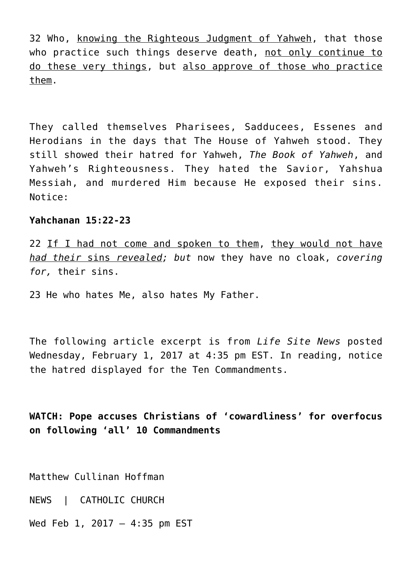32 Who, knowing the Righteous Judgment of Yahweh, that those who practice such things deserve death, not only continue to do these very things, but also approve of those who practice them.

They called themselves Pharisees, Sadducees, Essenes and Herodians in the days that The House of Yahweh stood. They still showed their hatred for Yahweh, *The Book of Yahweh*, and Yahweh's Righteousness. They hated the Savior, Yahshua Messiah, and murdered Him because He exposed their sins. Notice:

#### **Yahchanan 15:22-23**

22 If I had not come and spoken to them, they would not have *had their* sins *revealed; but* now they have no cloak, *covering for,* their sins.

23 He who hates Me, also hates My Father.

The following article excerpt is from *Life Site News* posted Wednesday, February 1, 2017 at 4:35 pm EST. In reading, notice the hatred displayed for the Ten Commandments.

**WATCH: Pope accuses Christians of 'cowardliness' for overfocus on following 'all' 10 Commandments**

Matthew Cullinan Hoffman

NEWS | CATHOLIC CHURCH

Wed Feb 1, 2017 – 4:35 pm EST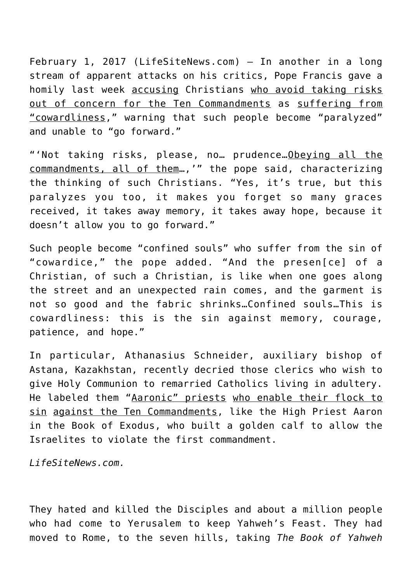February 1, 2017 (LifeSiteNews.com) – In another in a long stream of apparent attacks on his critics, Pope Francis gave a homily last week accusing Christians who avoid taking risks out of concern for the Ten Commandments as suffering from "cowardliness," warning that such people become "paralyzed" and unable to "go forward."

"'Not taking risks, please, no… prudence…Obeying all the commandments, all of them…,'" the pope said, characterizing the thinking of such Christians. "Yes, it's true, but this paralyzes you too, it makes you forget so many graces received, it takes away memory, it takes away hope, because it doesn't allow you to go forward."

Such people become "confined souls" who suffer from the sin of "cowardice," the pope added. "And the presen[ce] of a Christian, of such a Christian, is like when one goes along the street and an unexpected rain comes, and the garment is not so good and the fabric shrinks…Confined souls…This is cowardliness: this is the sin against memory, courage, patience, and hope."

In particular, Athanasius Schneider, auxiliary bishop of Astana, Kazakhstan, recently decried those clerics who wish to give Holy Communion to remarried Catholics living in adultery. He labeled them "Aaronic" priests who enable their flock to sin against the Ten Commandments, like the High Priest Aaron in the Book of Exodus, who built a golden calf to allow the Israelites to violate the first commandment.

*LifeSiteNews.com.*

They hated and killed the Disciples and about a million people who had come to Yerusalem to keep Yahweh's Feast. They had moved to Rome, to the seven hills, taking *The Book of Yahweh*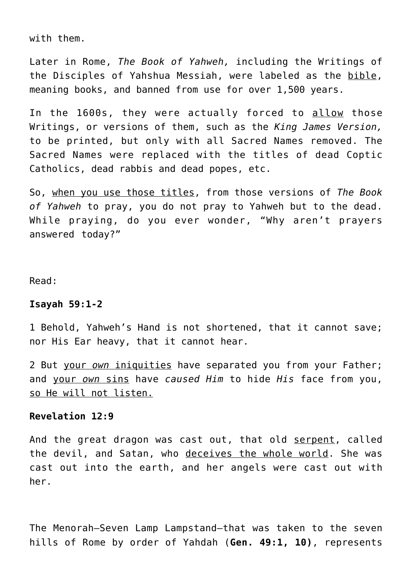with them.

Later in Rome, *The Book of Yahweh,* including the Writings of the Disciples of Yahshua Messiah, were labeled as the bible, meaning books, and banned from use for over 1,500 years.

In the 1600s, they were actually forced to allow those Writings, or versions of them, such as the *King James Version,* to be printed, but only with all Sacred Names removed. The Sacred Names were replaced with the titles of dead Coptic Catholics, dead rabbis and dead popes, etc.

So, when you use those titles, from those versions of *The Book of Yahweh* to pray, you do not pray to Yahweh but to the dead. While praying, do you ever wonder, "Why aren't prayers answered today?"

Read:

#### **Isayah 59:1-2**

1 Behold, Yahweh's Hand is not shortened, that it cannot save; nor His Ear heavy, that it cannot hear.

2 But your *own* iniquities have separated you from your Father; and your *own* sins have *caused Him* to hide *His* face from you, so He will not listen.

#### **Revelation 12:9**

And the great dragon was cast out, that old serpent, called the devil, and Satan, who deceives the whole world. She was cast out into the earth, and her angels were cast out with her.

The Menorah—Seven Lamp Lampstand—that was taken to the seven hills of Rome by order of Yahdah (**Gen. 49:1, 10)**, represents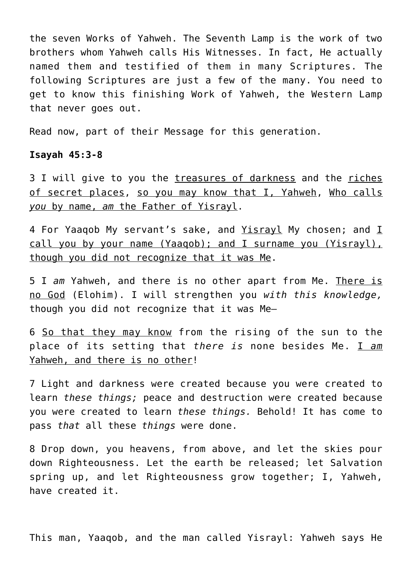the seven Works of Yahweh. The Seventh Lamp is the work of two brothers whom Yahweh calls His Witnesses. In fact, He actually named them and testified of them in many Scriptures. The following Scriptures are just a few of the many. You need to get to know this finishing Work of Yahweh, the Western Lamp that never goes out.

Read now, part of their Message for this generation.

#### **Isayah 45:3-8**

3 I will give to you the treasures of darkness and the riches of secret places, so you may know that I, Yahweh, Who calls *you* by name, *am* the Father of Yisrayl.

4 For Yaaqob My servant's sake, and Yisrayl My chosen; and I call you by your name (Yaaqob); and I surname you (Yisrayl), though you did not recognize that it was Me.

5 I *am* Yahweh, and there is no other apart from Me. There is no God (Elohim). I will strengthen you *with this knowledge,* though you did not recognize that it was Me—

6 So that they may know from the rising of the sun to the place of its setting that *there is* none besides Me. I *am* Yahweh, and there is no other!

7 Light and darkness were created because you were created to learn *these things;* peace and destruction were created because you were created to learn *these things.* Behold! It has come to pass *that* all these *things* were done.

8 Drop down, you heavens, from above, and let the skies pour down Righteousness. Let the earth be released; let Salvation spring up, and let Righteousness grow together; I, Yahweh, have created it.

This man, Yaaqob, and the man called Yisrayl: Yahweh says He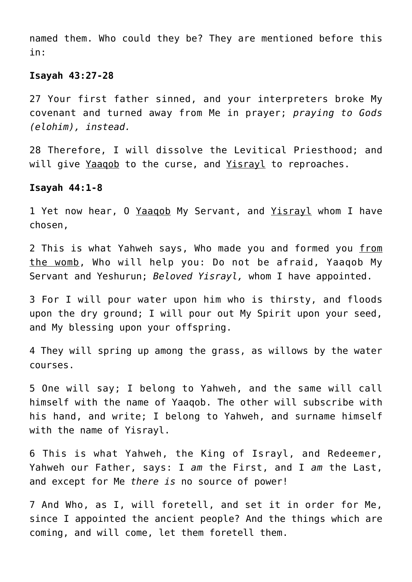named them. Who could they be? They are mentioned before this in:

#### **Isayah 43:27-28**

27 Your first father sinned, and your interpreters broke My covenant and turned away from Me in prayer; *praying to Gods (elohim), instead.*

28 Therefore, I will dissolve the Levitical Priesthood; and will give Yaaqob to the curse, and Yisrayl to reproaches.

#### **Isayah 44:1-8**

1 Yet now hear, 0 Yaaqob My Servant, and Yisrayl whom I have chosen,

2 This is what Yahweh says, Who made you and formed you from the womb, Who will help you: Do not be afraid, Yaaqob My Servant and Yeshurun; *Beloved Yisrayl,* whom I have appointed.

3 For I will pour water upon him who is thirsty, and floods upon the dry ground; I will pour out My Spirit upon your seed, and My blessing upon your offspring.

4 They will spring up among the grass, as willows by the water courses.

5 One will say; I belong to Yahweh, and the same will call himself with the name of Yaaqob. The other will subscribe with his hand, and write; I belong to Yahweh, and surname himself with the name of Yisrayl.

6 This is what Yahweh, the King of Israyl, and Redeemer, Yahweh our Father, says: I *am* the First, and I *am* the Last, and except for Me *there is* no source of power!

7 And Who, as I, will foretell, and set it in order for Me, since I appointed the ancient people? And the things which are coming, and will come, let them foretell them.